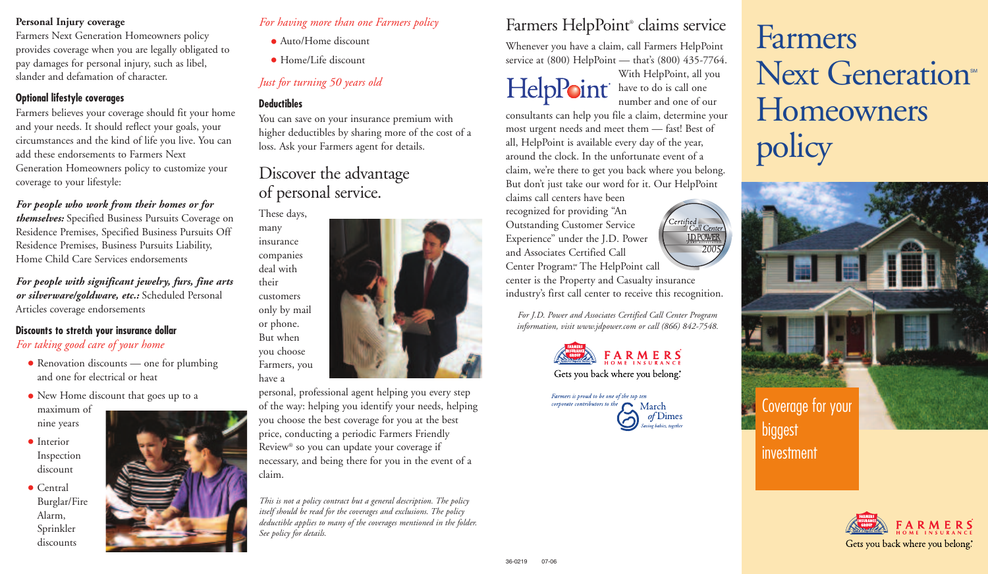#### **Personal Injury coverage**

Farmers Next Generation Homeowners policy provides coverage when you are legally obligated to pay damages for personal injury, such as libel, slander and defamation of character.

### **Optional lifestyle coverages**

Farmers believes your coverage should fit your home and your needs. It should reflect your goals, your circumstances and the kind of life you live. You can add these endorsements to Farmers Next Generation Homeowners policy to customize your coverage to your lifestyle:

## *For people who work from their homes or for*

*themselves:* Specified Business Pursuits Coverage on Residence Premises, Specified Business Pursuits Off Residence Premises, Business Pursuits Liability, Home Child Care Services endorsements

*For people with significant jewelry, furs, fine arts or silverware/goldware, etc.:* Scheduled Personal Articles coverage endorsements

#### **Discounts to stretch your insurance dollar** *For taking good care of your home*

- Renovation discounts one for plumbing and one for electrical or heat
- New Home discount that goes up to a maximum of
- nine years
- Interior Inspection discount

• Central Burglar/Fire Alarm, Sprinkler discounts



# *For having more than one Farmers policy*

- Auto/Home discount
- Home/Life discount

# *Just for turning 50 years old*

## **Deductibles**

many

their

have a

You can save on your insurance premium with higher deductibles by sharing more of the cost of a loss. Ask your Farmers agent for details.

# Discover the advantage of personal service.



personal, professional agent helping you every step of the way: helping you identify your needs, helping you choose the best coverage for you at the best price, conducting a periodic Farmers Friendly Review® so you can update your coverage if necessary, and being there for you in the event of a claim.

*This is not a policy contract but a general description. The policy itself should be read for the coverages and exclusions. The policy deductible applies to many of the coverages mentioned in the folder. See policy for details.* 

# Farmers HelpPoint® claims service

Whenever you have a claim, call Farmers HelpPoint service at (800) HelpPoint — that's (800) 435-7764.

With HelpPoint, all you **HelpPoint** have to do is call one number and one of our

> Certified<br>Call Center J.D.POWER 200

consultants can help you file a claim, determine your most urgent needs and meet them — fast! Best of all, HelpPoint is available every day of the year, around the clock. In the unfortunate event of a claim, we're there to get you back where you belong. But don't just take our word for it. Our HelpPoint

claims call centers have been recognized for providing "An Outstanding Customer Service Experience" under the J.D. Power and Associates Certified Call Center Program<sup>®</sup> The HelpPoint call center is the Property and Casualty insurance industry's first call center to receive this recognition.

*For J.D. Power and Associates Certified Call Center Program information, visit www.jdpower.com or call (866) 842-7548.*





# Farmers Next Generation<sup>®</sup> **Homeowners** policy